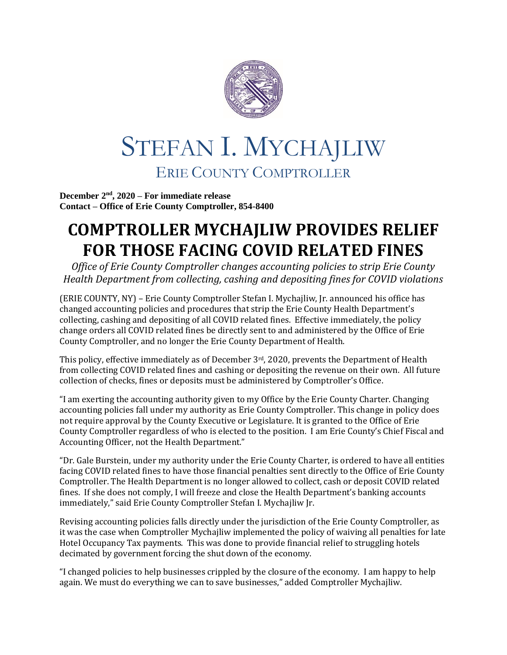

## STEFAN I. MYCHAJLIW ERIE COUNTY COMPTROLLER

**December 2nd, 2020 – For immediate release Contact – Office of Erie County Comptroller, 854-8400**

## **COMPTROLLER MYCHAJLIW PROVIDES RELIEF FOR THOSE FACING COVID RELATED FINES**

*Office of Erie County Comptroller changes accounting policies to strip Erie County Health Department from collecting, cashing and depositing fines for COVID violations*

(ERIE COUNTY, NY) – Erie County Comptroller Stefan I. Mychajliw, Jr. announced his office has changed accounting policies and procedures that strip the Erie County Health Department's collecting, cashing and depositing of all COVID related fines. Effective immediately, the policy change orders all COVID related fines be directly sent to and administered by the Office of Erie County Comptroller, and no longer the Erie County Department of Health.

This policy, effective immediately as of December 3rd, 2020, prevents the Department of Health from collecting COVID related fines and cashing or depositing the revenue on their own. All future collection of checks, fines or deposits must be administered by Comptroller's Office.

"I am exerting the accounting authority given to my Office by the Erie County Charter. Changing accounting policies fall under my authority as Erie County Comptroller. This change in policy does not require approval by the County Executive or Legislature. It is granted to the Office of Erie County Comptroller regardless of who is elected to the position. I am Erie County's Chief Fiscal and Accounting Officer, not the Health Department."

"Dr. Gale Burstein, under my authority under the Erie County Charter, is ordered to have all entities facing COVID related fines to have those financial penalties sent directly to the Office of Erie County Comptroller. The Health Department is no longer allowed to collect, cash or deposit COVID related fines. If she does not comply, I will freeze and close the Health Department's banking accounts immediately," said Erie County Comptroller Stefan I. Mychajliw Jr.

Revising accounting policies falls directly under the jurisdiction of the Erie County Comptroller, as it was the case when Comptroller Mychajliw implemented the policy of waiving all penalties for late Hotel Occupancy Tax payments. This was done to provide financial relief to struggling hotels decimated by government forcing the shut down of the economy.

"I changed policies to help businesses crippled by the closure of the economy. I am happy to help again. We must do everything we can to save businesses," added Comptroller Mychajliw.